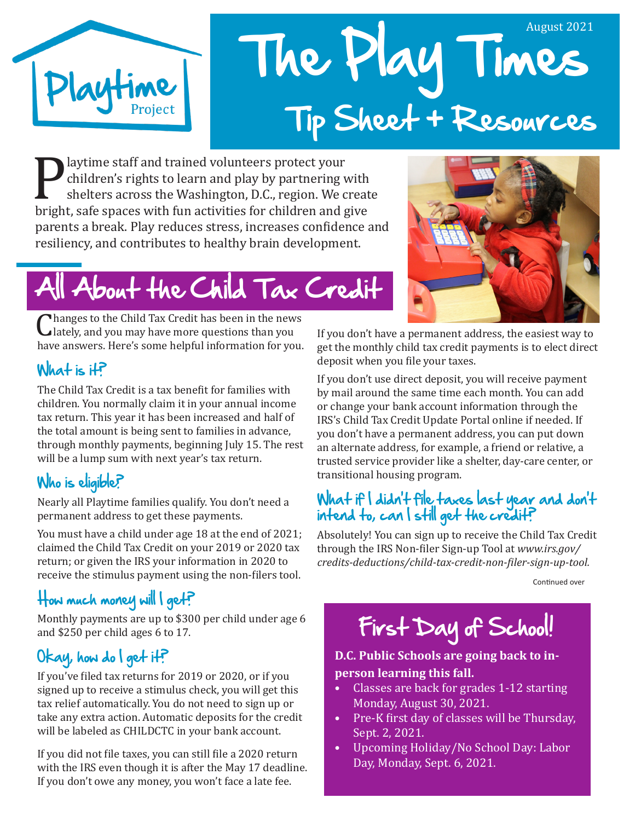

# The Play Times August 2021 Tip Sheet + Resources

**Playtime staff and trained volunteers protect your children's rights to learn and play by partnering with shelters across the Washington, D.C., region. We creat bright, safe spaces with fun activities for children and giv** children's rights to learn and play by partnering with shelters across the Washington, D.C., region. We create parents a break. Play reduces stress, increases confidence and resiliency, and contributes to healthy brain development.

# About the Child Tax Credit

Changes to the Child Tax Credit has been in the news<br>Lately, and you may have more questions than you<br>have answers. Here's some helpful information for you. lately, and you may have more questions than you have answers. Here's some helpful information for you.

### $What is if?$

The Child Tax Credit is a tax benefit for families with children. You normally claim it in your annual income tax return. This year it has been increased and half of the total amount is being sent to families in advance, through monthly payments, beginning July 15. The rest will be a lump sum with next year's tax return.

### Who is eligible?

Nearly all Playtime families qualify. You don't need a permanent address to get these payments.

You must have a child under age 18 at the end of 2021; claimed the Child Tax Credit on your 2019 or 2020 tax return; or given the IRS your information in 2020 to receive the stimulus payment using the non-filers tool.

## How much money will I get?

Monthly payments are up to \$300 per child under age 6 and \$250 per child ages 6 to 17.

#### Okay, how do I get it?

If you've filed tax returns for 2019 or 2020, or if you signed up to receive a stimulus check, you will get this tax relief automatically. You do not need to sign up or take any extra action. Automatic deposits for the credit will be labeled as CHILDCTC in your bank account.

If you did not file taxes, you can still file a 2020 return with the IRS even though it is after the May 17 deadline. If you don't owe any money, you won't face a late fee.



If you don't have a permanent address, the easiest way to get the monthly child tax credit payments is to elect direct deposit when you file your taxes.

If you don't use direct deposit, you will receive payment by mail around the same time each month. You can add or change your bank account information through the IRS's Child Tax Credit Update Portal online if needed. If you don't have a permanent address, you can put down an alternate address, for example, a friend or relative, a trusted service provider like a shelter, day-care center, or transitional housing program.

#### What if I didn't file taxes last year and don't intend to, can I still get the credit?

Absolutely! You can sign up to receive the Child Tax Credit through the IRS Non-filer Sign-up Tool at *www.irs.gov/ credits-deductions/child-tax-credit-non-filer-sign-up-tool.* 

 $\mathcal{C}$ Continued over

# First Day of School!

#### **D.C. Public Schools are going back to inperson learning this fall.**

- Classes are back for grades 1-12 starting Monday, August 30, 2021.
- Pre-K first day of classes will be Thursday, Sept. 2, 2021.
- Upcoming Holiday/No School Day: Labor Day, Monday, Sept. 6, 2021.